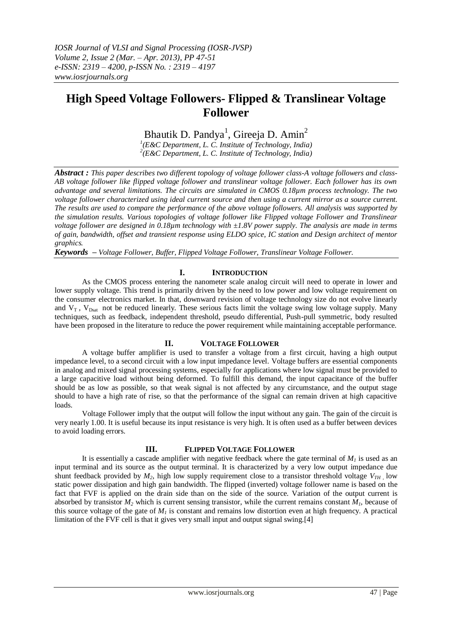# **High Speed Voltage Followers- Flipped & Translinear Voltage Follower**

Bhautik D. Pandya<sup>1</sup>, Gireeja D. Amin<sup>2</sup>

*1 (E&C Department, L. C. Institute of Technology, India) 2 (E&C Department, L. C. Institute of Technology, India)*

*Abstract : This paper describes two different topology of voltage follower class-A voltage followers and class-AB voltage follower like flipped voltage follower and translinear voltage follower. Each follower has its own advantage and several limitations. The circuits are simulated in CMOS 0.18µm process technology. The two voltage follower characterized using ideal current source and then using a current mirror as a source current. The results are used to compare the performance of the above voltage followers. All analysis was supported by the simulation results. Various topologies of voltage follower like Flipped voltage Follower and Translinear voltage follower are designed in 0.18µm technology with ±1.8V power supply. The analysis are made in terms of gain, bandwidth, offset and transient response using ELDO spice, IC station and Design architect of mentor graphics.*

*Keywords – Voltage Follower, Buffer, Flipped Voltage Follower, Translinear Voltage Follower.*

## **I. INTRODUCTION**

As the CMOS process entering the nanometer scale analog circuit will need to operate in lower and lower supply voltage. This trend is primarily driven by the need to low power and low voltage requirement on the consumer electronics market. In that, downward revision of voltage technology size do not evolve linearly and  $V_T$ ,  $V_{Dsat}$  not be reduced linearly. These serious facts limit the voltage swing low voltage supply. Many techniques, such as feedback, independent threshold, pseudo differential, Push-pull symmetric, body resulted have been proposed in the literature to reduce the power requirement while maintaining acceptable performance.

## **II. VOLTAGE FOLLOWER**

A voltage buffer amplifier is used to transfer a voltage from a first circuit, having a high output impedance level, to a second circuit with a low input impedance level. Voltage buffers are essential components in analog and mixed signal processing systems, especially for applications where low signal must be provided to a large capacitive load without being deformed. To fulfill this demand, the input capacitance of the buffer should be as low as possible, so that weak signal is not affected by any circumstance, and the output stage should to have a high rate of rise, so that the performance of the signal can remain driven at high capacitive loads.

Voltage Follower imply that the output will follow the input without any gain. The gain of the circuit is very nearly 1.00. It is useful because its input resistance is very high. It is often used as a buffer between devices to avoid loading errors.

## **III. FLIPPED VOLTAGE FOLLOWER**

It is essentially a cascade amplifier with negative feedback where the gate terminal of  $M<sub>1</sub>$  is used as an input terminal and its source as the output terminal. It is characterized by a very low output impedance due shunt feedback provided by  $M_2$ , high low supply requirement close to a transistor threshold voltage  $V_{TH}$ , low static power dissipation and high gain bandwidth. The flipped (inverted) voltage follower name is based on the fact that FVF is applied on the drain side than on the side of the source. Variation of the output current is absorbed by transistor  $M_2$  which is current sensing transistor, while the current remains constant  $M_1$ , because of this source voltage of the gate of  $M<sub>I</sub>$  is constant and remains low distortion even at high frequency. A practical limitation of the FVF cell is that it gives very small input and output signal swing.[4]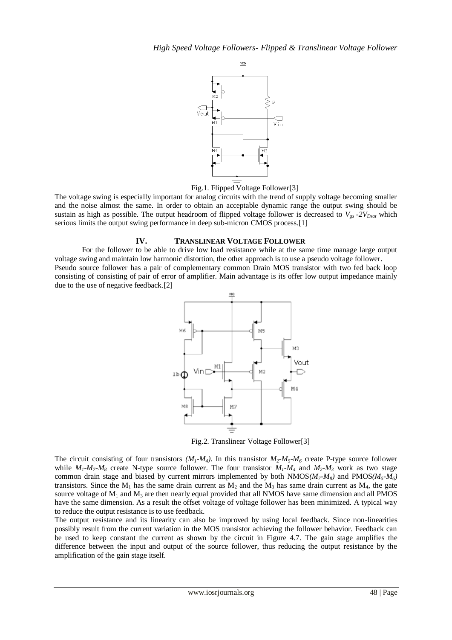

Fig.1. Flipped Voltage Follower[3]

The voltage swing is especially important for analog circuits with the trend of supply voltage becoming smaller and the noise almost the same. In order to obtain an acceptable dynamic range the output swing should be sustain as high as possible. The output headroom of flipped voltage follower is decreased to  $V_{gs}$  *-2V<sub>Dsat</sub>* which serious limits the output swing performance in deep sub-micron CMOS process.[1]

#### **IV. TRANSLINEAR VOLTAGE FOLLOWER**

For the follower to be able to drive low load resistance while at the same time manage large output voltage swing and maintain low harmonic distortion, the other approach is to use a pseudo voltage follower. Pseudo source follower has a pair of complementary common Drain MOS transistor with two fed back loop consisting of consisting of pair of error of amplifier. Main advantage is its offer low output impedance mainly

due to the use of negative feedback.[2]



Fig.2. Translinear Voltage Follower[3]

The circuit consisting of four transistors  $(M_1$ - $M_4)$ . In this transistor  $M_2$ - $M_5$ - $M_6$  create P-type source follower while  $M_1$ - $M_7$ - $M_8$  create N-type source follower. The four transistor  $M_1$ - $M_4$  and  $M_2$ - $M_3$  work as two stage common drain stage and biased by current mirrors implemented by both  $NMOS(M<sub>7</sub>-M<sub>8</sub>)$  and  $PMOS(M<sub>5</sub>-M<sub>6</sub>)$ transistors. Since the  $M_1$  has the same drain current as  $M_2$  and the  $M_3$  has same drain current as  $M_4$ , the gate source voltage of  $M_1$  and  $M_3$  are then nearly equal provided that all NMOS have same dimension and all PMOS have the same dimension. As a result the offset voltage of voltage follower has been minimized. A typical way to reduce the output resistance is to use feedback.

The output resistance and its linearity can also be improved by using local feedback. Since non-linearities possibly result from the current variation in the MOS transistor achieving the follower behavior. Feedback can be used to keep constant the current as shown by the circuit in Figure 4.7. The gain stage amplifies the difference between the input and output of the source follower, thus reducing the output resistance by the amplification of the gain stage itself.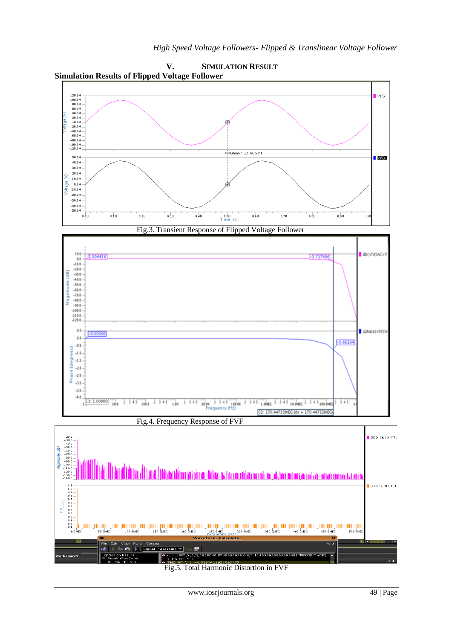

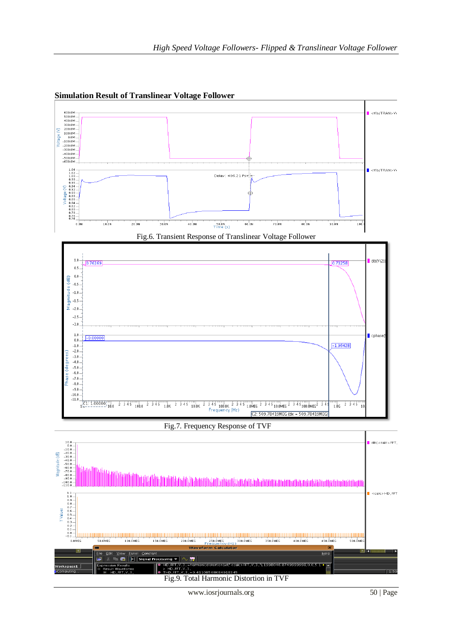

**Simulation Result of Translinear Voltage Follower**